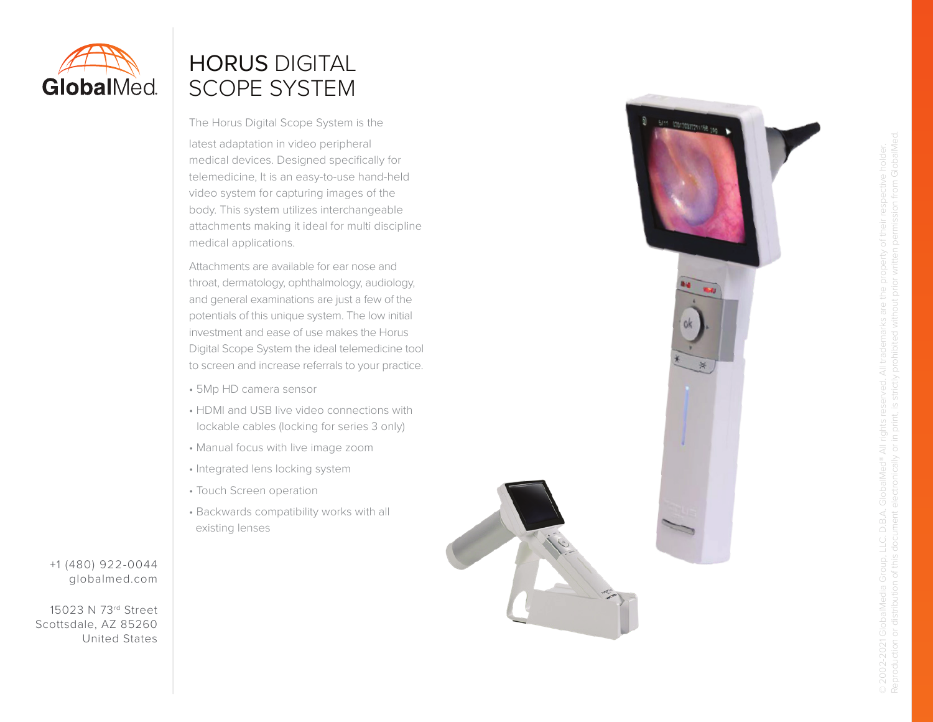

# HORUS DIGITAL SCOPE SYSTEM

The Horus Digital Scope System is the

latest adaptation in video peripheral medical devices. Designed specifically for telemedicine, It is an easy-to-use hand-held video system for capturing images of the body. This system utilizes interchangeable attachments making it ideal for multi discipline medical applications.

Attachments are available for ear nose and throat, dermatology, ophthalmology, audiology, and general examinations are just a few of the potentials of this unique system. The low initial investment and ease of use makes the Horus Digital Scope System the ideal telemedicine tool to screen and increase referrals to your practice.

- 5Mp HD camera sensor
- HDMI and USB live video connections with lockable cables (locking for series 3 only)
- Manual focus with live image zoom
- Integrated lens locking system
- Touch Screen operation
- Backwards compatibility works with all existing lenses

+1 (480) 922-0044 globalmed.com

15023 N 73rd Street Scottsdale, AZ 85260 United States



© 2002-2021 GlobalMedia Group, LLC. D.B.A. GlobalMed® All rights reserved. All trademarks are the property of their respective holder.